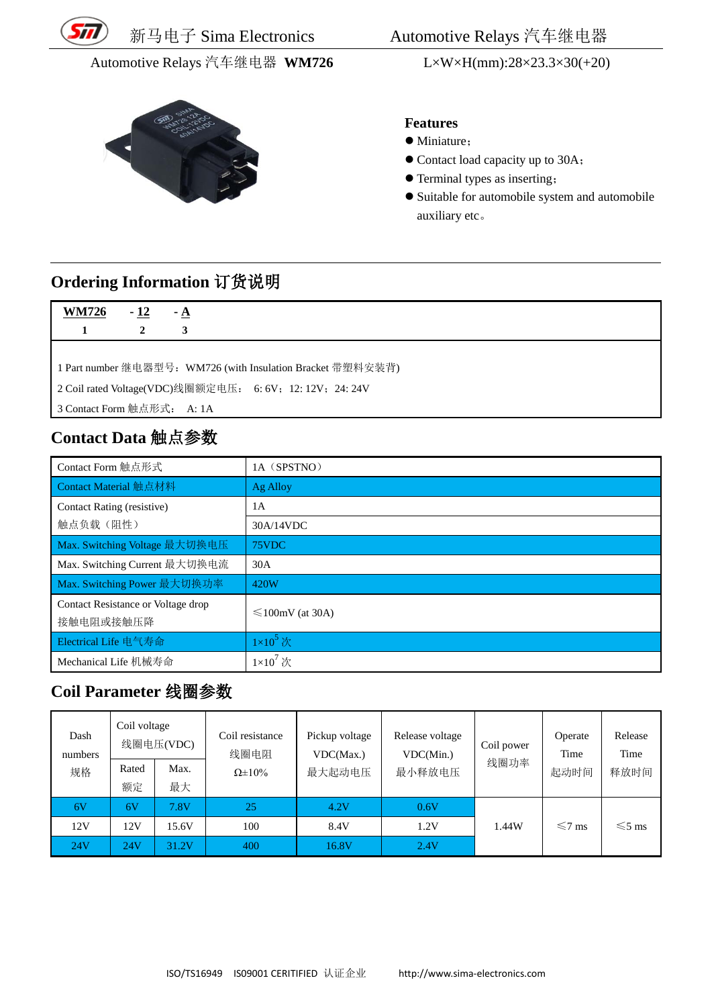

Automotive Relays 汽车继电器 **WM726** L×W×H(mm):28×23.3×30(+20)



新马电子 Sima Electronics Automotive Relays 汽车继电器

#### **Features**

- $\bullet$  Miniature:
- Contact load capacity up to 30A;
- Terminal types as inserting;
- Suitable for automobile system and automobile auxiliary etc。

### **Ordering Information** 订货说明

1 Part number 继电器型号:WM726 (with Insulation Bracket 带塑料安装背)

2 Coil rated Voltage(VDC)线圈额定电压: 6: 6V;12: 12V;24: 24V

3 Contact Form 触点形式: A: 1A

### **Contact Data** 触点参数

| Contact Form 触点形式                  | 1A (SPSTNO)            |
|------------------------------------|------------------------|
| Contact Material 触点材料              | Ag Alloy               |
| Contact Rating (resistive)         | 1A                     |
| 触点负载(阻性)                           | 30A/14VDC              |
| Max. Switching Voltage 最大切换电压      | 75VDC                  |
| Max. Switching Current 最大切换电流      | 30A                    |
| Max. Switching Power 最大切换功率        | 420W                   |
| Contact Resistance or Voltage drop |                        |
| 接触电阻或接触压降                          | $\leq 100$ mV (at 30A) |
| Electrical Life 电气寿命               | $1\times10^5$ 次        |
| Mechanical Life 机械寿命               | $1\times10^7$ 次        |

### **Coil Parameter** 线圈参数

| Dash<br>numbers | Coil voltage | 线圈电压(VDC) | Coil resistance<br>线圈电阻 | Pickup voltage<br>VDC(Max.) | Release voltage<br>VDC(Min.) | Coil power | Operate<br>Time | Release<br>Time |
|-----------------|--------------|-----------|-------------------------|-----------------------------|------------------------------|------------|-----------------|-----------------|
| 规格              | Rated        | Max.      | $\Omega \pm 10\%$       | 最大起动电压                      | 最小释放电压                       | 线圈功率       | 起动时间            | 释放时间            |
|                 | 额定           | 最大        |                         |                             |                              |            |                 |                 |
| 6V              | 6V           | 7.8V      | 25                      | 4.2V                        | 0.6V                         |            |                 |                 |
| 12V             | 12V          | 15.6V     | 100                     | 8.4V                        | 1.2V                         | 1.44W      | $\leq 7$ ms     | $\leq 5$ ms     |
| 24V             | 24V          | 31.2V     | 400                     | 16.8V                       | 2.4V                         |            |                 |                 |